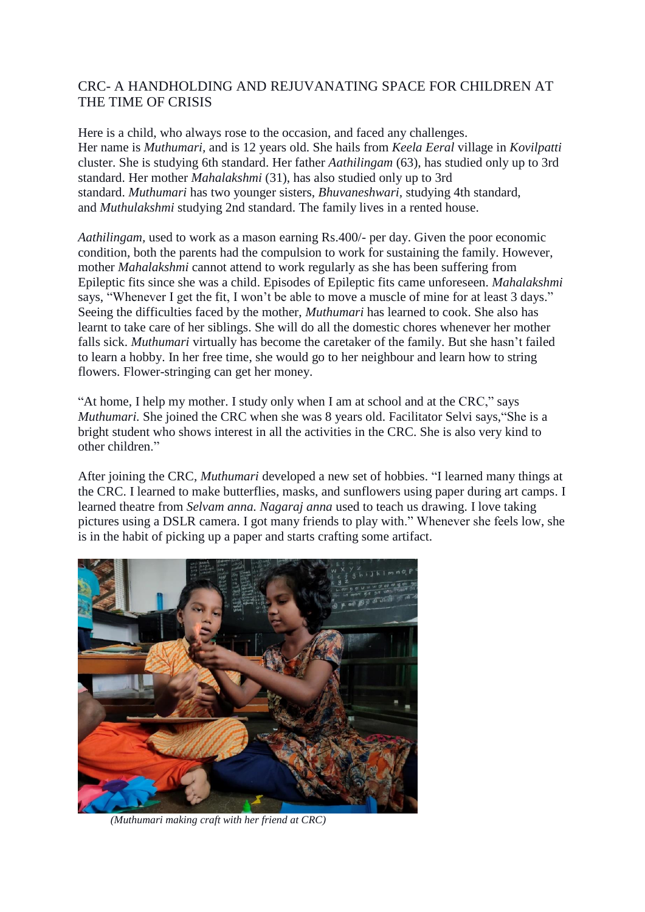## CRC- A HANDHOLDING AND REJUVANATING SPACE FOR CHILDREN AT THE TIME OF CRISIS

Here is a child, who always rose to the occasion, and faced any challenges. Her name is *Muthumari,* and is 12 years old. She hails from *Keela Eeral* village in *Kovilpatti* cluster. She is studying 6th standard. Her father *Aathilingam* (63), has studied only up to 3rd standard. Her mother *Mahalakshmi* (31), has also studied only up to 3rd standard. *Muthumari* has two younger sisters, *Bhuvaneshwari,* studying 4th standard, and *Muthulakshmi* studying 2nd standard. The family lives in a rented house.

*Aathilingam,* used to work as a mason earning Rs.400/- per day. Given the poor economic condition, both the parents had the compulsion to work for sustaining the family. However, mother *Mahalakshmi* cannot attend to work regularly as she has been suffering from Epileptic fits since she was a child. Episodes of Epileptic fits came unforeseen. *Mahalakshmi* says, "Whenever I get the fit, I won't be able to move a muscle of mine for at least 3 days." Seeing the difficulties faced by the mother, *Muthumari* has learned to cook. She also has learnt to take care of her siblings. She will do all the domestic chores whenever her mother falls sick. *Muthumari* virtually has become the caretaker of the family. But she hasn't failed to learn a hobby. In her free time, she would go to her neighbour and learn how to string flowers. Flower-stringing can get her money.

"At home, I help my mother. I study only when I am at school and at the CRC," says *Muthumari.* She joined the CRC when she was 8 years old. Facilitator Selvi says,"She is a bright student who shows interest in all the activities in the CRC. She is also very kind to other children."

After joining the CRC, *Muthumari* developed a new set of hobbies. "I learned many things at the CRC. I learned to make butterflies, masks, and sunflowers using paper during art camps. I learned theatre from *Selvam anna. Nagaraj anna* used to teach us drawing. I love taking pictures using a DSLR camera. I got many friends to play with." Whenever she feels low, she is in the habit of picking up a paper and starts crafting some artifact.



 *(Muthumari making craft with her friend at CRC)*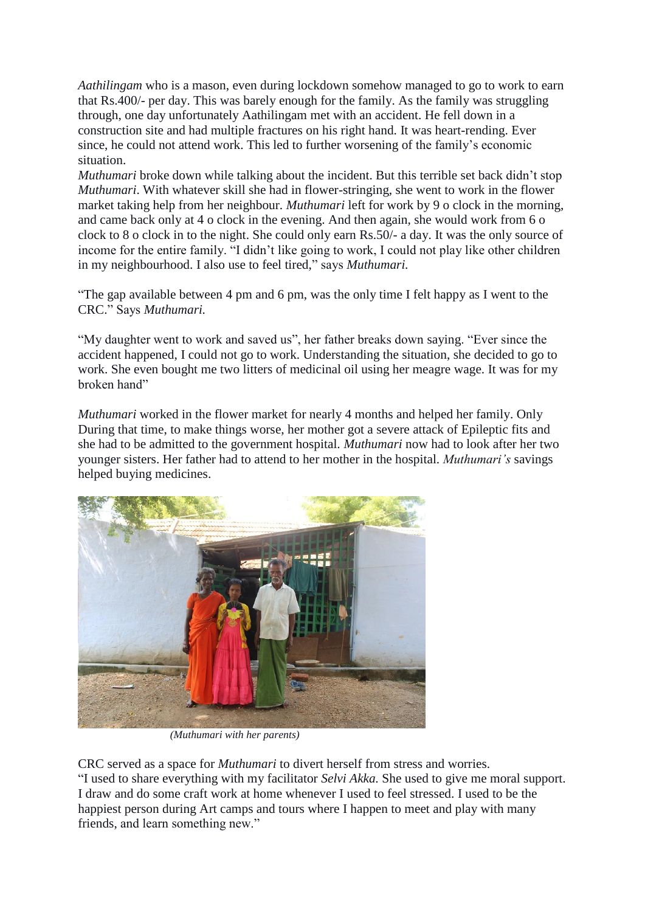*Aathilingam* who is a mason, even during lockdown somehow managed to go to work to earn that Rs.400/- per day. This was barely enough for the family. As the family was struggling through, one day unfortunately Aathilingam met with an accident. He fell down in a construction site and had multiple fractures on his right hand. It was heart-rending. Ever since, he could not attend work. This led to further worsening of the family's economic situation.

*Muthumari* broke down while talking about the incident. But this terrible set back didn't stop *Muthumari*. With whatever skill she had in flower-stringing, she went to work in the flower market taking help from her neighbour. *Muthumari* left for work by 9 o clock in the morning, and came back only at 4 o clock in the evening. And then again, she would work from 6 o clock to 8 o clock in to the night. She could only earn Rs.50/- a day. It was the only source of income for the entire family. "I didn't like going to work, I could not play like other children in my neighbourhood. I also use to feel tired," says *Muthumari.*

"The gap available between 4 pm and 6 pm, was the only time I felt happy as I went to the CRC." Says *Muthumari.* 

"My daughter went to work and saved us", her father breaks down saying. "Ever since the accident happened, I could not go to work. Understanding the situation, she decided to go to work. She even bought me two litters of medicinal oil using her meagre wage. It was for my broken hand"

*Muthumari* worked in the flower market for nearly 4 months and helped her family. Only During that time, to make things worse, her mother got a severe attack of Epileptic fits and she had to be admitted to the government hospital. *Muthumari* now had to look after her two younger sisters. Her father had to attend to her mother in the hospital. *Muthumari's* savings helped buying medicines.



 *(Muthumari with her parents)*

CRC served as a space for *Muthumari* to divert herself from stress and worries. "I used to share everything with my facilitator *Selvi Akka.* She used to give me moral support. I draw and do some craft work at home whenever I used to feel stressed. I used to be the happiest person during Art camps and tours where I happen to meet and play with many friends, and learn something new."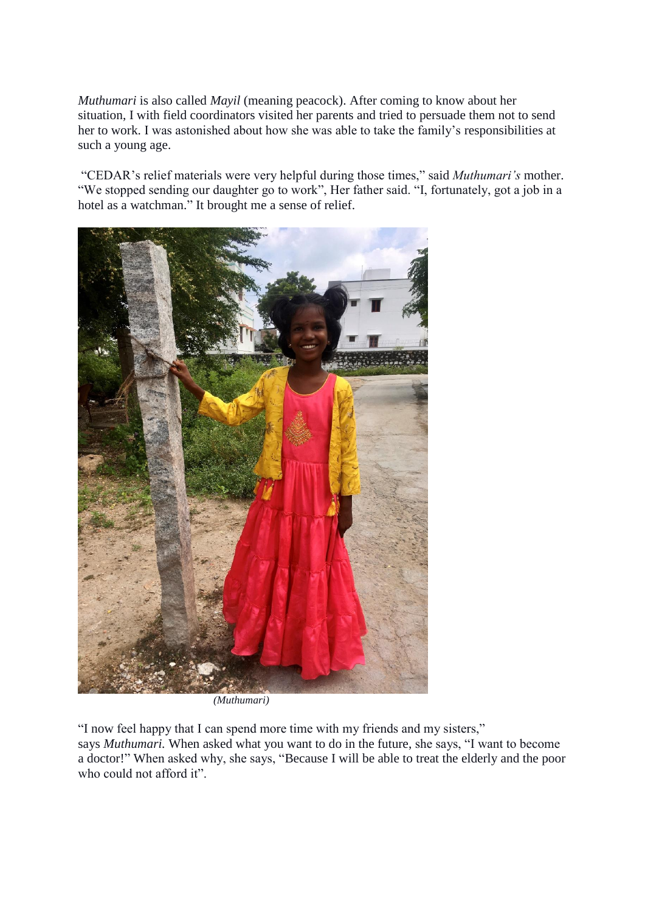*Muthumari* is also called *Mayil* (meaning peacock). After coming to know about her situation, I with field coordinators visited her parents and tried to persuade them not to send her to work. I was astonished about how she was able to take the family's responsibilities at such a young age.

"CEDAR's relief materials were very helpful during those times," said *Muthumari's* mother. "We stopped sending our daughter go to work", Her father said. "I, fortunately, got a job in a hotel as a watchman." It brought me a sense of relief.



 *(Muthumari)*

"I now feel happy that I can spend more time with my friends and my sisters," says *Muthumari.* When asked what you want to do in the future, she says, "I want to become a doctor!" When asked why, she says, "Because I will be able to treat the elderly and the poor who could not afford it".